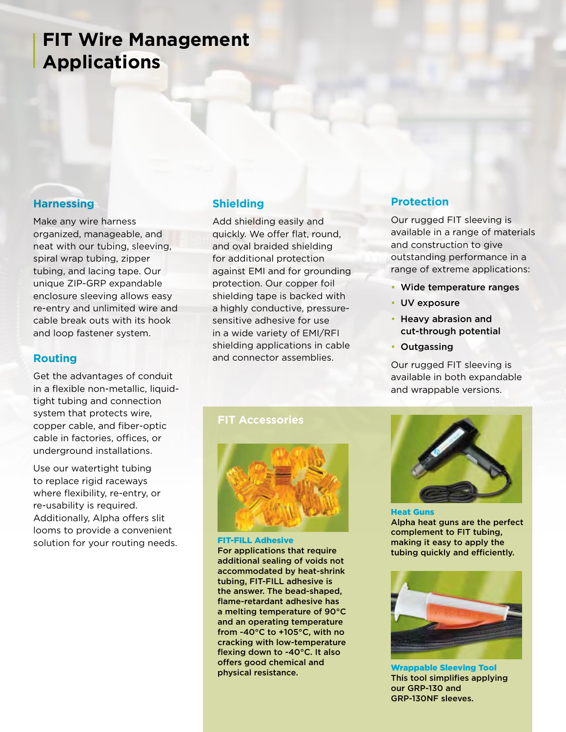## **FIT Wire Management Applications**

#### **Harnessing**

Make any wire harness organized, manageable, and neat with our tubing, sleeving, spiral wrap tubing, zipper tubing, and lacing tape. Our unique ZIP-GRP expandable enclosure sleeving allows easy re-entry and unlimited wire and cable break outs with its hook and loop fastener system.

#### **Routing**

Get the advantages of conduit in a flexible non-metallic, liquidtight tubing and connection system that protects wire, copper cable, and fiber-optic cable in factories, offices, or underground installations.

Use our watertight tubing to replace rigid raceways where flexibility, re-entry, or re-usability is required. Additionally, Alpha offers slit looms to provide a convenient solution for your routing needs.

### **Shielding**

Add shielding easily and quickly. We offer flat, round, and oval braided shielding for additional protection against EMI and for grounding protection. Our copper foil shielding tape is backed with a highly conductive, pressuresensitive adhesive for use in a wide variety of EMI/RFI shielding applications in cable and connector assemblies.

#### **FIT Accessories**



FIT-FILL Adhesive For applications that require additional sealing of voids not accommodated by heat-shrink tubing, FIT-FILL adhesive is the answer. The bead-shaped, flame-retardant adhesive has a melting temperature of 90°C and an operating temperature from -40°C to +105°C, with no cracking with low-temperature flexing down to -40°C. It also offers good chemical and physical resistance.

## **Protection**

Our rugged FIT sleeving is available in a range of materials and construction to give outstanding performance in a range of extreme applications:

- Wide temperature ranges
- UV exposure
- Heavy abrasion and cut-through potential
- Outgassing

Our rugged FIT sleeving is available in both expandable and wrappable versions.



#### Heat Guns Alpha heat guns are the perfect complement to FIT tubing, making it easy to apply the tubing quickly and efficiently.



Wrappable Sleeving Tool This tool simplifies applying our GRP-130 and GRP-130NF sleeves.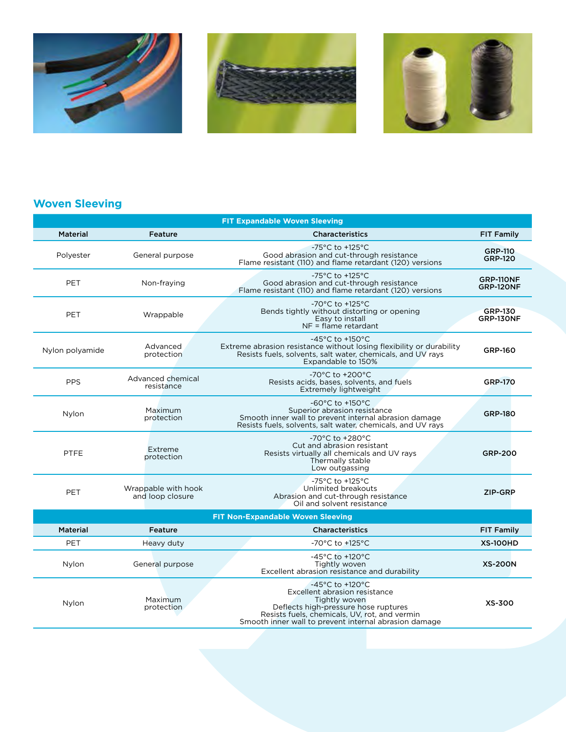





## **Woven Sleeving**

| <b>FIT Expandable Woven Sleeving</b>     |                                         |                                                                                                                                                                                                                     |                                    |  |  |
|------------------------------------------|-----------------------------------------|---------------------------------------------------------------------------------------------------------------------------------------------------------------------------------------------------------------------|------------------------------------|--|--|
| <b>Material</b>                          | Feature                                 | <b>Characteristics</b>                                                                                                                                                                                              | <b>FIT Family</b>                  |  |  |
| Polyester                                | General purpose                         | $-75^{\circ}$ C to $+125^{\circ}$ C<br>Good abrasion and cut-through resistance<br>Flame resistant (110) and flame retardant (120) versions                                                                         | <b>GRP-110</b><br><b>GRP-120</b>   |  |  |
| <b>PET</b>                               | Non-fraying                             | -75°C to +125°C<br>Good abrasion and cut-through resistance<br>Flame resistant (110) and flame retardant (120) versions                                                                                             | GRP-110NF<br>GRP-120NF             |  |  |
| <b>PET</b>                               | Wrappable                               | -70 $^{\circ}$ C to +125 $^{\circ}$ C<br>Bends tightly without distorting or opening<br>Easy to install<br>$NF =$ flame retardant                                                                                   | <b>GRP-130</b><br><b>GRP-130NF</b> |  |  |
| Nylon polyamide                          | Advanced<br>protection                  | $-45^{\circ}$ C to $+150^{\circ}$ C<br>Extreme abrasion resistance without losing flexibility or durability<br>Resists fuels, solvents, salt water, chemicals, and UV rays<br>Expandable to 150%                    | <b>GRP-160</b>                     |  |  |
| <b>PPS</b>                               | Advanced chemical<br>resistance         | -70°C to +200°C<br>Resists acids, bases, solvents, and fuels<br>Extremely lightweight                                                                                                                               | <b>GRP-170</b>                     |  |  |
| Nylon                                    | Maximum<br>protection                   | -60 $^{\circ}$ C to +150 $^{\circ}$ C<br>Superior abrasion resistance<br>Smooth inner wall to prevent internal abrasion damage<br>Resists fuels, solvents, salt water, chemicals, and UV rays                       | <b>GRP-180</b>                     |  |  |
| <b>PTFE</b>                              | Extreme<br>protection                   | $-70^{\circ}$ C to $+280^{\circ}$ C<br>Cut and abrasion resistant<br>Resists virtually all chemicals and UV rays<br>Thermally stable<br>Low outgassing                                                              | <b>GRP-200</b>                     |  |  |
| <b>PET</b>                               | Wrappable with hook<br>and loop closure | -75°C to +125°C<br>Unlimited breakouts<br>Abrasion and cut-through resistance<br>Oil and solvent resistance                                                                                                         | ZIP-GRP                            |  |  |
| <b>FIT Non-Expandable Woven Sleeving</b> |                                         |                                                                                                                                                                                                                     |                                    |  |  |
| <b>Material</b>                          | Feature                                 | <b>Characteristics</b>                                                                                                                                                                                              | <b>FIT Family</b>                  |  |  |
| PET                                      | Heavy duty                              | -70°C to +125°C                                                                                                                                                                                                     | <b>XS-100HD</b>                    |  |  |
| Nylon                                    | General purpose                         | $-45^{\circ}$ C to $+120^{\circ}$ C<br>Tightly woven<br>Excellent abrasion resistance and durability                                                                                                                | <b>XS-200N</b>                     |  |  |
| Nylon                                    | Maximum<br>protection                   | -45°C to +120°C<br>Excellent abrasion resistance<br>Tightly woven<br>Deflects high-pressure hose ruptures<br>Resists fuels, chemicals, UV, rot, and vermin<br>Smooth inner wall to prevent internal abrasion damage | <b>XS-300</b>                      |  |  |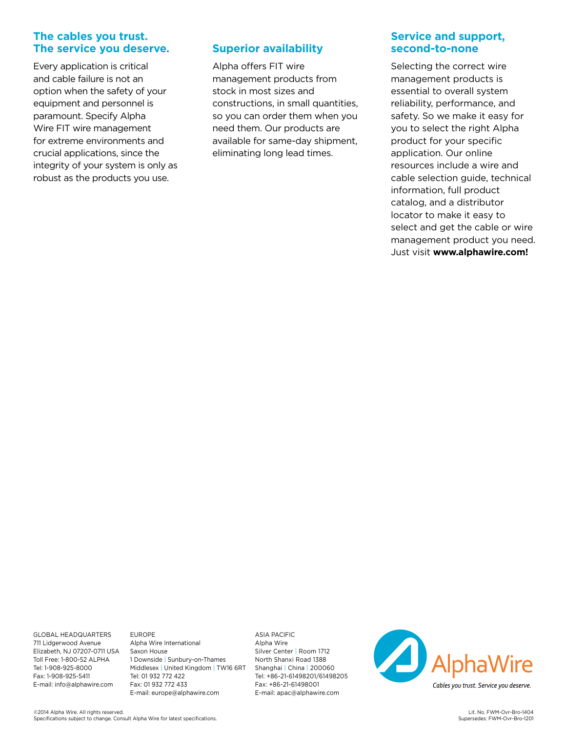#### **The cables you trust. The service you deserve.**

Every application is critical and cable failure is not an option when the safety of your equipment and personnel is paramount. Specify Alpha Wire FIT wire management for extreme environments and crucial applications, since the integrity of your system is only as robust as the products you use.

#### **Superior availability**

Alpha offers FIT wire management products from stock in most sizes and constructions, in small quantities, so you can order them when you need them. Our products are available for same-day shipment, eliminating long lead times.

#### **Service and support, second-to-none**

Selecting the correct wire management products is essential to overall system reliability, performance, and safety. So we make it easy for you to select the right Alpha product for your specific application. Our online resources include a wire and cable selection guide, technical information, full product catalog, and a distributor locator to make it easy to select and get the cable or wire management product you need. Just visit **www.alphawire.com!**

GLOBAL HEADQUARTERS 711 Lidgerwood Avenue Elizabeth, NJ 07207-0711 USA Toll Free: 1-800-52 ALPHA Tel: 1-908-925-8000 Fax: 1-908-925-5411 E-mail: info@alphawire.com

EUROPE Alpha Wire International Saxon House 1 Downside | Sunbury-on-Thames Middlesex | United Kingdom | TW16 6RT Tel: 01 932 772 422 Fax: 01 932 772 433 E-mail: europe@alphawire.com

ASIA PACIFIC Alpha Wire Silver Center | Room 1712 North Shanxi Road 1388 Shanghai | China | 200060 Tel: +86-21-61498201/61498205 Fax: +86-21-61498001 E-mail: apac@alphawire.com

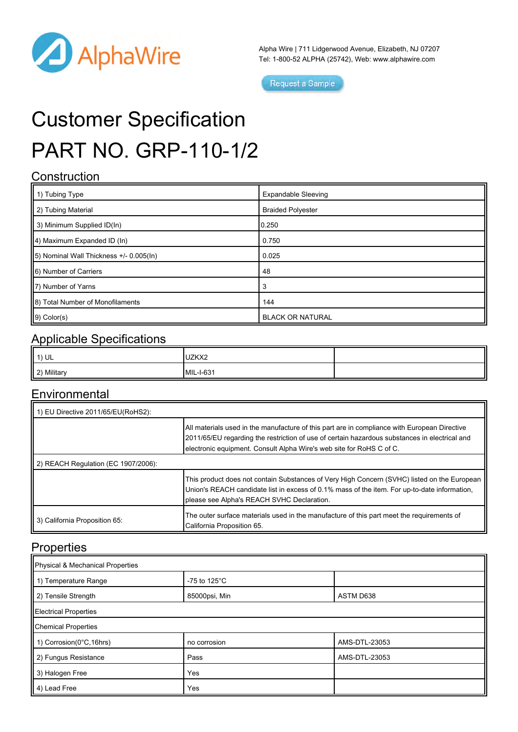

Alpha Wire | 711 Lidgerwood Avenue, Elizabeth, NJ 07207 Tel: 1-800-52 ALPHA (25742), Web: [www.alphawire.com](http://www.alphawire.com)

Request a Sample

# Customer Specification PART NO. GRP-110-1/2

## **Construction**

| $\parallel$ 1) Tubing Type              | <b>Expandable Sleeving</b> |  |
|-----------------------------------------|----------------------------|--|
| 2) Tubing Material                      | <b>Braided Polyester</b>   |  |
| 3) Minimum Supplied ID(In)              | 0.250                      |  |
| $  4$ ) Maximum Expanded ID (In)        | 0.750                      |  |
| 5) Nominal Wall Thickness +/- 0.005(ln) | 0.025                      |  |
| 6) Number of Carriers                   | 48                         |  |
| 7) Number of Yarns                      | 3                          |  |
| 8) Total Number of Monofilaments        | 144                        |  |
| $9)$ Color(s)                           | <b>BLACK OR NATURAL</b>    |  |

## Applicable Specifications

| 1) UL       | UZKX2     |  |
|-------------|-----------|--|
| 2) Military | MIL-I-631 |  |

## **Environmental**

| 1) EU Directive 2011/65/EU(RoHS2):  |                                                                                                                                                                                                                                                                       |  |  |  |
|-------------------------------------|-----------------------------------------------------------------------------------------------------------------------------------------------------------------------------------------------------------------------------------------------------------------------|--|--|--|
|                                     | All materials used in the manufacture of this part are in compliance with European Directive<br>2011/65/EU regarding the restriction of use of certain hazardous substances in electrical and<br>electronic equipment. Consult Alpha Wire's web site for RoHS C of C. |  |  |  |
| 2) REACH Regulation (EC 1907/2006): |                                                                                                                                                                                                                                                                       |  |  |  |
|                                     | This product does not contain Substances of Very High Concern (SVHC) listed on the European<br>Union's REACH candidate list in excess of 0.1% mass of the item. For up-to-date information,<br>please see Alpha's REACH SVHC Declaration.                             |  |  |  |
| 3) California Proposition 65:       | The outer surface materials used in the manufacture of this part meet the requirements of<br>California Proposition 65.                                                                                                                                               |  |  |  |

## **Properties**

| Physical & Mechanical Properties |                         |               |  |  |
|----------------------------------|-------------------------|---------------|--|--|
| 1 1) Temperature Range           | -75 to 125 $^{\circ}$ C |               |  |  |
| 2) Tensile Strength              | 85000psi, Min           | ASTM D638     |  |  |
| Electrical Properties            |                         |               |  |  |
| Chemical Properties              |                         |               |  |  |
| 1) Corrosion(0 $°C, 16$ hrs)     | no corrosion            | AMS-DTL-23053 |  |  |
| 2) Fungus Resistance             | Pass                    | AMS-DTL-23053 |  |  |
| 3) Halogen Free                  | Yes                     |               |  |  |
| 4) Lead Free                     | Yes                     |               |  |  |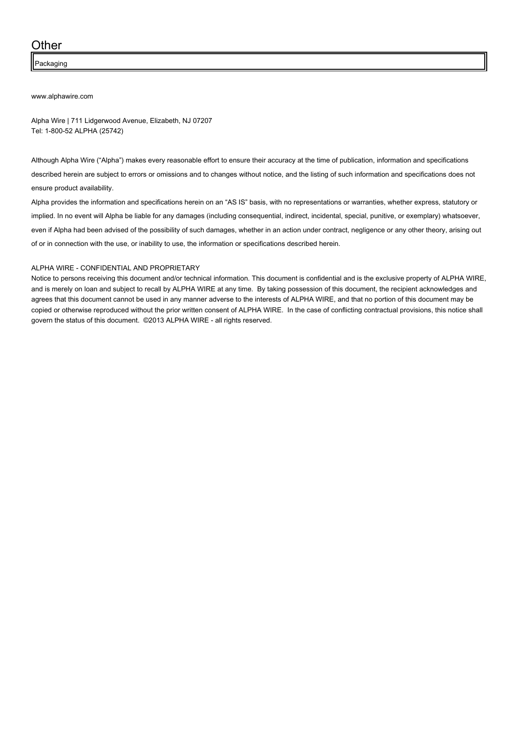#### **Other**

Packaging

#### [www.alphawire.com](http://www.alphawire.com)

Alpha Wire | 711 Lidgerwood Avenue, Elizabeth, NJ 07207 Tel: 1-800-52 ALPHA (25742)

Although Alpha Wire ("Alpha") makes every reasonable effort to ensure their accuracy at the time of publication, information and specifications described herein are subject to errors or omissions and to changes without notice, and the listing of such information and specifications does not ensure product availability.

Alpha provides the information and specifications herein on an "AS IS" basis, with no representations or warranties, whether express, statutory or implied. In no event will Alpha be liable for any damages (including consequential, indirect, incidental, special, punitive, or exemplary) whatsoever, even if Alpha had been advised of the possibility of such damages, whether in an action under contract, negligence or any other theory, arising out of or in connection with the use, or inability to use, the information or specifications described herein.

#### ALPHA WIRE - CONFIDENTIAL AND PROPRIETARY

Notice to persons receiving this document and/or technical information. This document is confidential and is the exclusive property of ALPHA WIRE, and is merely on loan and subject to recall by ALPHA WIRE at any time. By taking possession of this document, the recipient acknowledges and agrees that this document cannot be used in any manner adverse to the interests of ALPHA WIRE, and that no portion of this document may be copied or otherwise reproduced without the prior written consent of ALPHA WIRE. In the case of conflicting contractual provisions, this notice shall govern the status of this document. ©2013 ALPHA WIRE - all rights reserved.